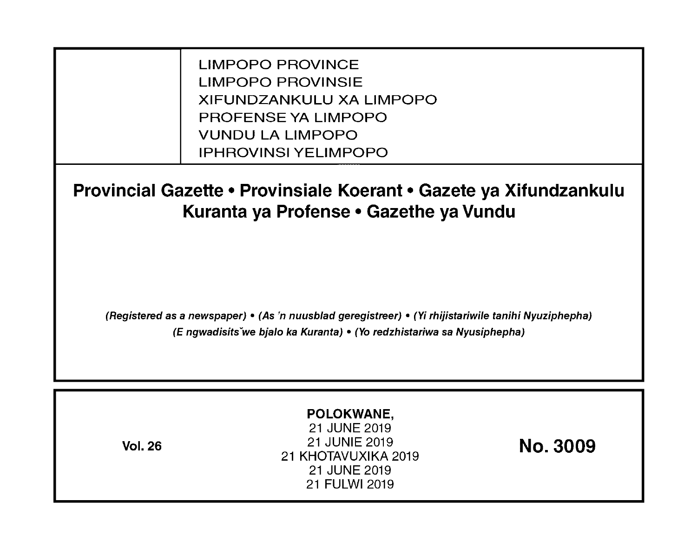LIMPOPO PROVINCE LIMPOPO PROVINSIE XIFUNDZANKULU XA LIMPOPO PROFENSE YA LIMPOPO VUNDU LA LIMPOPO IPHROVINSI YELIMPOPO

**Provincial Gazette • Provinsiale Koerant • Gazete ya Xifundzankulu Kuranta ya Profense • Gazethe ya Vundu** 

(Registered as a newspaper) • (As 'n nuusblad geregistreer) • (Yi rhijistariwile tanihi Nyuziphepha) (E ngwadisits we bjalo ka Kuranta) • (Yo redzhistariwa sa Nyusiphepha)

| POLOKWANE,<br>21 JUNE 2019<br>21 JUNIE 2019<br><b>Vol. 26</b><br>21 KHOTAVUXIKA 2019<br>21 JUNE 2019<br>21 FULWI 2019 | <b>No. 3009</b> |
|-----------------------------------------------------------------------------------------------------------------------|-----------------|
|-----------------------------------------------------------------------------------------------------------------------|-----------------|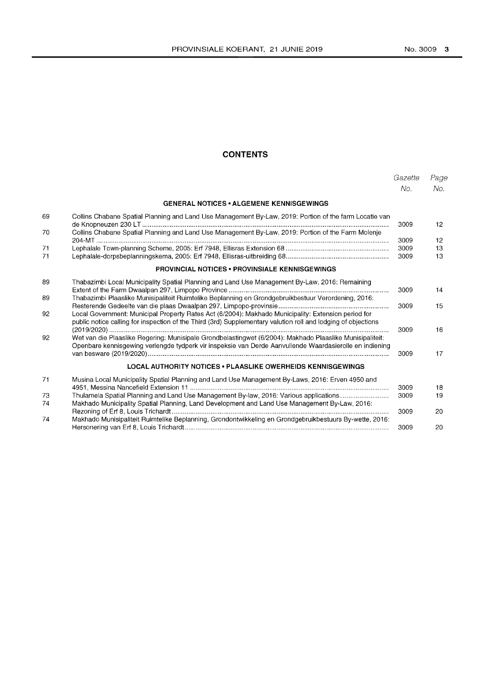# **CONTENTS**

|          |                                                                                                                                                                                                                     | Gazette<br>No. | Page<br>No. |
|----------|---------------------------------------------------------------------------------------------------------------------------------------------------------------------------------------------------------------------|----------------|-------------|
|          | <b>GENERAL NOTICES • ALGEMENE KENNISGEWINGS</b>                                                                                                                                                                     |                |             |
| 69       | Collins Chabane Spatial Planning and Land Use Management By-Law, 2019: Portion of the farm Locatie van                                                                                                              | 3009           | 12          |
| 70       | Collins Chabane Spatial Planning and Land Use Management By-Law, 2019: Portion of the Farm Molenje                                                                                                                  | 3009           | 12          |
| 71<br>71 |                                                                                                                                                                                                                     | 3009<br>3009   | 13<br>13    |
|          | <b>PROVINCIAL NOTICES • PROVINSIALE KENNISGEWINGS</b>                                                                                                                                                               |                |             |
| 89       | Thabazimbi Local Municipality Spatial Planning and Land Use Management By-Law, 2016: Remaining                                                                                                                      | 3009           | 14          |
| 89<br>92 | Thabazimbi Plaaslike Munisipaliteit Ruimtelike Beplanning en Grondgebruikbestuur Verordening, 2016:<br>Local Government: Municipal Property Rates Act (6/2004): Makhado Municipality: Extension period for          | 3009           | 15          |
|          | public notice calling for inspection of the Third (3rd) Supplementary valution roll and lodging of objections                                                                                                       |                | 16          |
| 92       | Wet van die Plaaslike Regering: Munisipale Grondbelastingwet (6/2004): Makhado Plaaslike Munisipaliteit:<br>Openbare kennisgewing verlengde tydperk vir inspeksie van Derde Aanvullende Waardasierolle en indiening | 3009           | 17          |
|          | LOCAL AUTHORITY NOTICES • PLAASLIKE OWERHEIDS KENNISGEWINGS                                                                                                                                                         |                |             |
| 71       | Musina Local Municipality Spatial Planning and Land Use Management By-Laws, 2016: Erven 4950 and                                                                                                                    | 3009           | 18          |
| 73<br>74 | Thulamela Spatial Planning and Land Use Management By-law, 2016: Various applications<br>Makhado Municipality Spatial Planning, Land Development and Land Use Management By-Law, 2016:                              | 3009           | 19          |
| 74       | Makhado Munisipaliteit Ruimtelike Beplanning, Grondontwikkeling en Grondgebruikbestuurs By-wette, 2016:                                                                                                             | 3009<br>3009   | 20<br>20    |
|          |                                                                                                                                                                                                                     |                |             |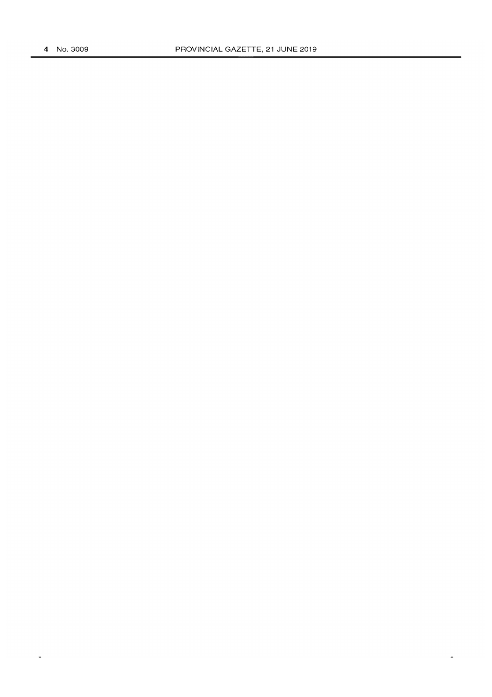$\Box$ 

 $\overline{\phantom{a}}$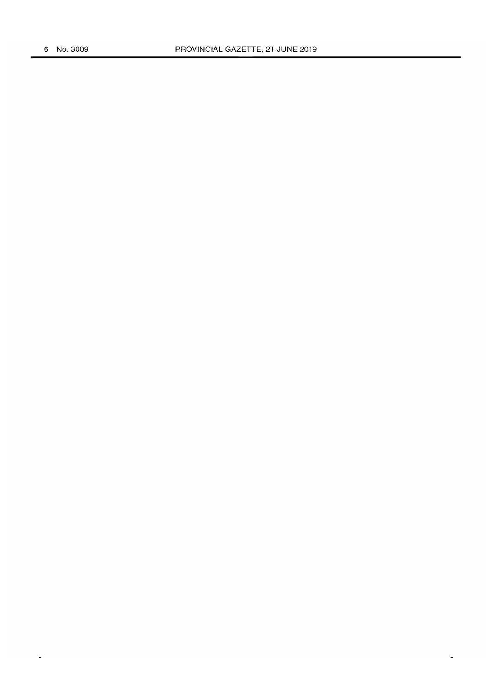$\Box$ 

 $\overline{\phantom{a}}$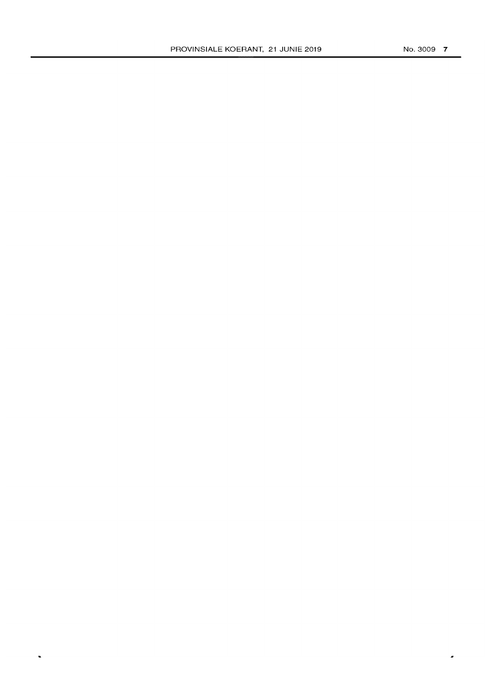$\hat{\mathbf{z}}$ 

 $\pmb{s}$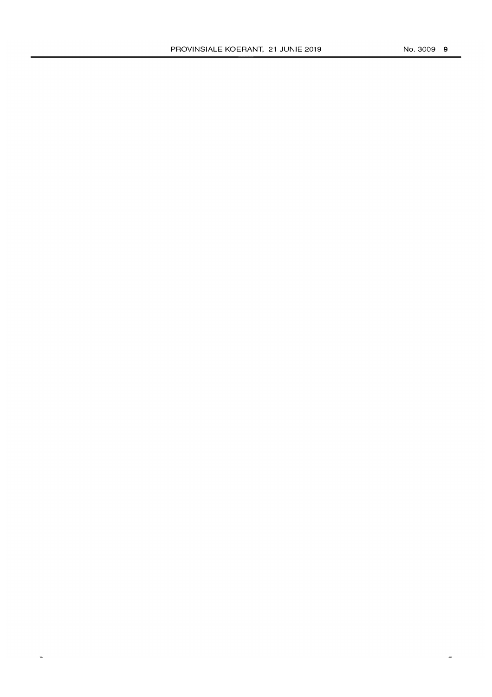$\overline{a}$ 

 $\overline{\phantom{a}}$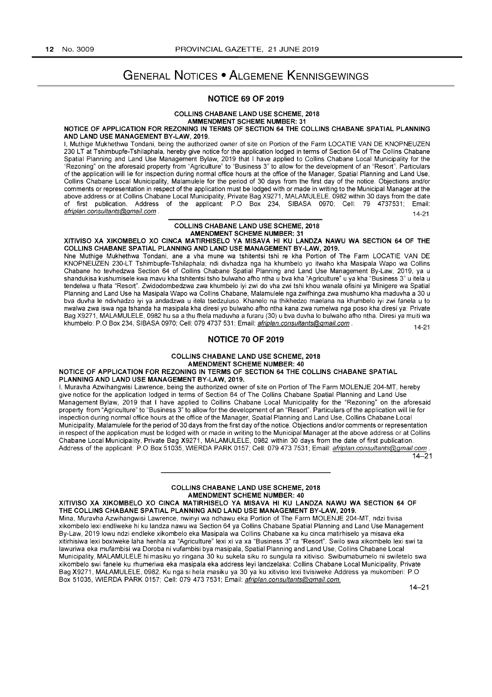# GENERAL NOTICES • ALGEMENE KENNISGEWINGS

### NOTICE 69 OF 2019

#### COLLINS CHABANE LAND USE SCHEME, 2018 AMMENDMENT SCHEME NUMBER: 31

#### NOTICE OF APPLICATION FOR REZONING IN TERMS OF SECTION 64 THE COLLINS CHABANE SPATIAL PLANNING AND LAND USE MANAGEMENT BY-LAW, 2019.

I, Muthige Mukhethwa Tondani, being the authorized owner of site on Portion of the Farm LOCATIE VAN DE KNOPNEUZEN 230 L Tat Tshimbupfe-Tshilaphala, hereby give notice for the application lodged in terms of Section 64 of The Collins Chabane Spatial Planning and Land Use Management Bylaw, 2019 that I have applied to Collins Chabane Local Municipality for the "Rezoning" on the aforesaid property from "Agriculture" to "Business 3" to allow for the development of an "Resort". Particulars of the application will lie for inspection during normal office hours at the office of the Manager, Spatial Planning and Land Use, Collins Chabane Local Municipality, Malamulele for the period of 30 days from the first day of the notice. Objections and/or comments or representation in respect of the application must be lodged with or made in writing to the Municipal Manager at the above address or at Collins Chabane Local Municipality, Private Bag X9271, MALAMULELE, 0982 within 30 days from the date of first publication. Address of the applicant: P.O Box 234, SIBASA 0970; Cell: 79 4737531; Email: afriplan.consultants@gmail.com. 14-21

> COLLINS CHABANE LAND USE SCHEME, 2018 AMENDMENT SCHEME NUMBER: 31

XITIVISO XA XIKOMBELO XO CINCA MATIRHISELO YA MISAVA HI KU LANDZA NAWU WA SECTION 64 OF THE COLLINS CHABANE SPATIAL PLANNING AND LAND USE MANAGEMENT BY-LAW, 2019.

Nne Muthige Mukhethwa Tondani, ane a vha mune wa tshitentsi tshi re kha Portion of The Farm LOCATIE VAN DE KNOPNEUZEN 230-LT Tshimbupfe-Tshilaphala; ndi divhadza nga ha khumbelo yo itwaho kha Masipala Wapo wa Collins Chabane ho tevhedzwa Section 64 of Collins Chabane Spatial Planning and Land Use Management By-Law, 2019, ya u shandukisa kushumisele kwa mavu kha tshitentsi tsho bulwaho afho ntha u bva kha "Agriculture" u ya kha "Business 3" u itela u tendelwa u fhata "Resort". Zwidodombedzwa zwa khumbelo iyi zwi do vha zwi tshi khou wanala ofisini ya Minigere wa Spatial Planning and Land Use ha Masipala Wapo wa Collins Chabane, Malamulele nga zwifhinga zwa mushumo kha maduvha a 30 u bva duvha Ie ndivhadzo iyi ya andadzwa u itela tsedzuluso. Khanelo na thikhedzo maelana na khumbelo iyi zwi fanela u to nwalwa zwa iswa nga tshanda ha masipala kha diresi yo bulwaho afho ntha kana zwa rumelwa nga poso kha diresi ya: Private Bag X9271, MALAMULELE, 0982 hu sa a thu fhela maduvha a furaru (30) u bva duvha 10 bulwaho afho ntha. Diresi ya muiti wa khumbelo: P.O Box 234, SIBASA 0970; Cell: 079 4737 531; Email: afriplan.consultants@gmail.com .

14-21

## NOTICE 70 OF 2019

#### COLLINS CHABANE LAND USE SCHEME, 2018 AMENDMENT SCHEME NUMBER: 40

# NOTICE OF APPLICATION FOR REZONING IN TERMS OF SECTION 64 THE COLLINS CHABANE SPATIAL

PLANNING AND LAND USE MANAGEMENT BY-LAW, 2019.

I, Muravha Azwihangwisi Lawrence, being the authorized owner of site on Portion of The Farm MOLENJE 204-MT, hereby give notice for the application lodged in terms of Section 64 of The Collins Chabane Spatial Planning and Land Use Management Bylaw, 2019 that I have applied to Collins Chabane Local Municipality for the "Rezoning" on the aforesaid property from "Agriculture" to "Business 3" to allow for the development of an "Resort". Particulars of the application will lie for inspection during normal office hours at the office of the Manager, Spatial Planning and Land Use, Collins Chabane Local Municipality, Malamulele for the period of 30 days from the first day of the notice. Objections and/or comments or representation in respect of the application must be lodged with or made in writing to the Municipal Manager at the above address or at Collins Chabane Local Municipality, Private Bag X9271, MALAMULELE, 0982 within 30 days from the date of first publication. Address of the applicant: P.O Box 51035, WIERDA PARK 0157; Cell: 079 473 7531; Email: afriplan.consultants@gmail.com

 $14 - 21$ 

# COLLINS CHABANE LAND USE SCHEME, 2018 AMENDMENT SCHEME NUMBER: 40

XITIVISO XA XIKOMBELO XO CINCA MATIRHISELO YA MISAVA HI KU LANDZA NAWU WA SECTION 64 OF THE COLLINS CHABANE SPATIAL PLANNING AND LAND USE MANAGEMENT BY-LAW, 2019.

Mina, Muravha Azwihangwisi Lawrence, nwinyi wa ndhawu eka Portion of The Farm MOLENJE 204-MT, ndzi tivisa xikombelo lexi endliweke hi ku landza nawu wa Section 64 ya Collins Chabane Spatial Planning and Land Use Management By-Law, 2019 lowu ndzi endleke xikombelo eka Masipala wa Collins Chabane xa ku cinca matirhiselo ya misava eka xitirhisiwa lexi boxiweke laha henhla xa "Agriculture" lexi xi va xa "Business 3" ra "Resort". Swilo swa xikombelo lexi swi ta lawuriwa eka mufambisi wa Doroba ni vufambisi bya masipala, Spatial Planning and Land Use, Collins Chabane Local Municipality, MALAMULELE hi masiku yo ringana 30 ku sukela siku ro sungula ra xitiviso. Swibumabumelo ni swiletelo swa xikombelo swi fanele ku rhumeriwa eka masipala eka address leyi landzelaka: Collins Chabane Local Municipality, Private Bag X9271, MALAMULELE, 0982. Ku nga si hela masiku ya 30 ya ku xitiviso lexi tivisiweke Address ya mukomberi: P.O Box 51035, WIERDA PARK 0157; Cell: 079 473 7531; Email: afriplan.consultants@gmail.com.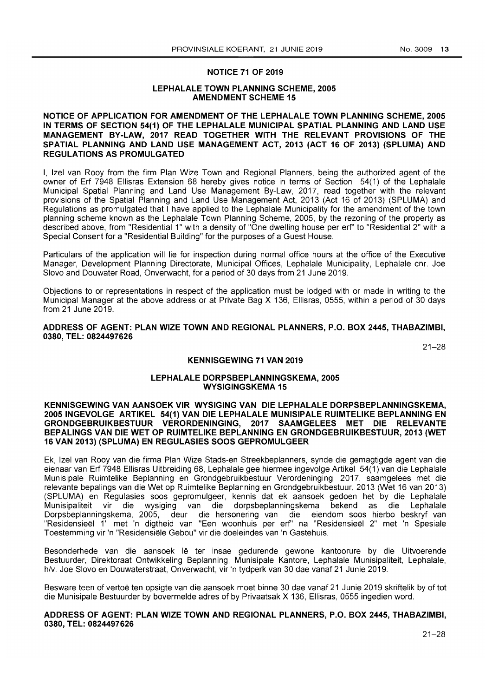#### **NOTICE 71 OF 2019**

#### **LEPHALALE TOWN PLANNING SCHEME, 2005**  AMENDMENT SCHEME 15

## **NOTICE OF APPLICATION FOR AMENDMENT OF THE LEPHALALE TOWN PLANNING SCHEME, 2005 IN TERMS OF SECTION 54(1) OF THE LEPHALALE MUNICIPAL SPATIAL PLANNING AND LAND USE MANAGEMENT BY-LAW, 2017 READ TOGETHER WITH THE RELEVANT PROVISIONS OF THE SPATIAL PLANNING AND LAND USE MANAGEMENT ACT, 2013 (ACT 16 OF 2013) (SPLUMA) AND REGULATIONS AS PROMULGATED**

I, Izel van Rooy from the firm Plan Wize Town and Regional Planners, being the authorized agent of the owner of Erf 7948 Ellisras Extension 68 hereby gives notice in terms of Section 54(1) of the Lephalale Municipal Spatial Planning and Land Use Management By-Law, 2017, read together with the relevant provisions of the Spatial Planning and Land Use Management Act, 2013 (Act 16 of 2013) (SPLUMA) and Regulations as promulgated that I have applied to the Lephalale Municipality for the amendment of the town planning scheme known as the Lephalale Town Planning Scheme, 2005, by the rezoning of the property as described above, from "Residential 1" with a density of "One dwelling house per erf' to "Residential 2" with a Special Consent for a "Residential Building" for the purposes of a Guest House.

Particulars of the application will lie for inspection during normal office hours at the office of the Executive Manager, Development Planning Directorate, Municipal Offices, Lephalale Municipality, Lephalale cnr. Joe Siovo and Douwater Road, Onverwacht, for a period of 30 days from 21 June 2019.

Objections to or representations in respect of the application must be lodged with or made in writing to the Municipal Manager at the above address or at Private Bag X 136, Ellisras, 0555, within a period of 30 days from  $21$  June  $2019$ .

#### **ADDRESS OF AGENT: PLAN WIZE TOWN AND REGIONAL PLANNERS, P.O. BOX 2445, THABAZIMBI,**  0380, TEL: 0824497626

21-28

#### **KENNISGEWING 71 VAN 2019**

#### **LEPHALALE DORPSBEPLANNINGSKEMA, 2005 WYSIGINGSKEMA 15**

#### **KENNISGEWING VAN AANSOEK VIR WYSIGING VAN DIE LEPHALALE DORPSBEPLANNINGSKEMA, 20051NGEVOLGE ARTIKEL 54(1) VAN DIE LEPHALALE MUNISIPALE RUIMTELIKE BEPLANNING EN GRONDGEBRUIKBESTUUR VERORDENINGING, 2017 SAAMGELEES MET DIE RELEVANTE BEPALINGS VAN DIE WET OP RUIMTELIKE BEPLANNING EN GRONDGEBRUIKBESTUUR, 2013 (WET 16 VAN 2013) (SPLUMA) EN REGULASIES 5005 GEPROMULGEER**

Ek, Izel van Rooy van die firma Plan Wize Stads-en Streekbeplanners, synde die gemagtigde agent van die eienaar van Erf 7948 Ellisras Uitbreiding 68, Lephalale gee hiermee ingevolge Artikel 54(1) van die Lephalale Munisipale Ruimtelike Beplanning en Grondgebruikbestuur Verordeninging, 2017, saamgelees met die relevante bepalings van die Wet op Ruimtelike Beplanning en Grondgebruikbestuur, 2013 (Wet 16 van 2013) (SPLUMA) en Regulasies soos gepromulgeer, kennis dat ek aansoek gedoen het by die Lephalale Munisipaliteit vir die wysiging van die dorpsbeplanningskema bekend as<br>Dorpsbeplanningskema 2005, deur die hersonering van die eiendom-soos-hie deur die hersonering van die eiendom soos hierbo beskryf van "Residensieel 1" met 'n digtheid van "Een woonhuis per erf' na "Residensieel 2" met 'n Spesiale Toestemming vir 'n "Residensiele Gebou" vir die doeleindes van 'n Gastehuis.

Besonderhede van die aansoek lê ter insae gedurende gewone kantoorure by die Uitvoerende Bestuurder, Direktoraat Ontwikkeling Beplanning, Munisipale Kantore, Lephalale Munisipaliteit, Lephalale, h/v. Joe Siovo en Douwaterstraat, Onverwacht, vir 'n tydperk van 30 dae vanaf 21 Junie 2019.

Besware teen of vertoe ten opsigte van die aansoek moet binne 30 dae vanaf 21 Junie 2019 skriftelik by of tot die Munisipale Bestuurder by bovermelde adres of by Privaatsak X 136, Ellisras, 0555 ingedien word.

## **ADDRESS OF AGENT: PLAN WIZE TOWN AND REGIONAL PLANNERS, P.O. BOX 2445, THABAZIMBI, 0380,** TEL: 0824497626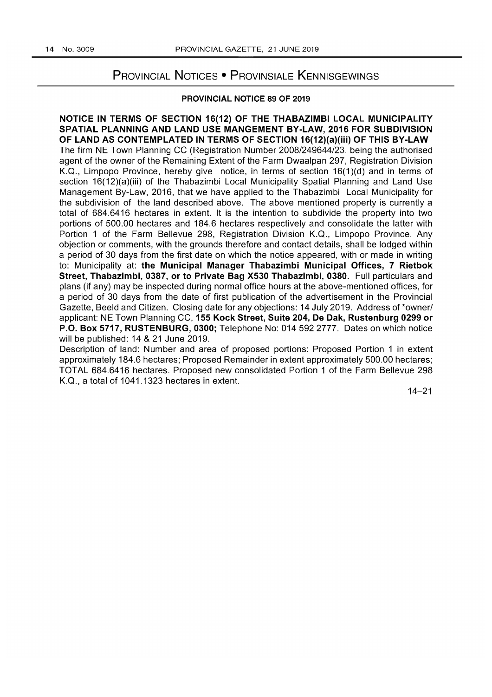# PROVINCIAL NOTICES • PROVINSIALE KENNISGEWINGS

## PROVINCIAL NOTICE 89 OF 2019

NOTICE IN TERMS OF SECTION 16(12) OF THE THABAZIMBI LOCAL MUNICIPALITY SPATIAL PLANNING AND LAND USE MANGEMENT BY-LAW, 2016 FOR SUBDIVISION OF LAND AS CONTEMPLATED IN TERMS OF SECTION 16(12)(a)(iii) OF THIS BY-LAW The firm NE Town Planning CC (Registration Number *2008/249644/23,* being the authorised agent of the owner of the Remaining Extent of the Farm Dwaalpan 297, Registration Division K.O., Limpopo Province, hereby give notice, in terms of section 16(1 )(d) and in terms of section 16(12)(a)(iii) of the Thabazimbi Local Municipality Spatial Planning and Land Use Management By-Law, 2016, that we have applied to the Thabazimbi Local Municipality for the subdivision of the land described above. The above mentioned property is currently a total of 684.6416 hectares in extent. It is the intention to subdivide the property into two portions of 500.00 hectares and 184.6 hectares respectively and consolidate the latter with Portion 1 of the Farm Bellevue 298, Registration Division K.O., Limpopo Province. Any objection or comments, with the grounds therefore and contact details, shall be lodged within a period of 30 days from the first date on which the notice appeared, with or made in writing to: Municipality at: the Municipal Manager Thabazimbi Municipal Offices, 7 Rietbok Street, Thabazimbi, 0387, or to Private Bag X530 Thabazimbi, 0380. Full particulars and plans (if any) may be inspected during normal office hours at the above-mentioned offices, for a period of 30 days from the date of first publication of the advertisement in the Provincial Gazette, Beeld and Citizen. Closing date for any objections: 14 July 2019. Address of \*ownerl applicant: NE Town Planning CC, 155 Kock Street, Suite 204, De Dak, Rustenburg 0299 or P.O. Box 5717, RUSTENBURG, 0300; Telephone No: 014 592 2777. Dates on which notice will be published: 14 & 21 June 2019.

Description of land: Number and area of proposed portions: Proposed Portion 1 in extent approximately 184.6 hectares; Proposed Remainder in extent approximately 500.00 hectares; TOTAL 684.6416 hectares. Proposed new consolidated Portion 1 of the Farm Bellevue 298 K.O., a total of 1041.1323 hectares in extent.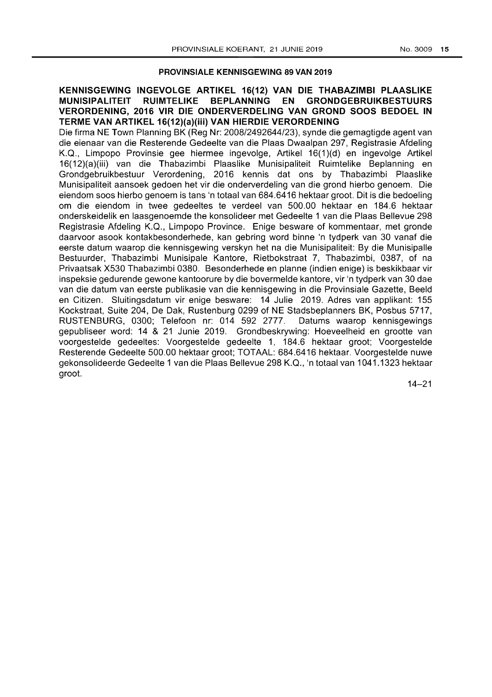#### PROVINSIALE KENNISGEWING 89 VAN 2019

# KENNISGEWING INGEVOLGE ARTIKEL 16(12) VAN DIE THABAZIMBI PLAASLIKE MUNISIPALITEIT RUIMTELIKE BEPLANNING EN GRONDGEBRUIKBESTUURS VERORDENING, 2016 VIR DIE ONDERVERDELING VAN GROND SOOS BEDOEL IN TERME VAN ARTIKEL 16(12)(a)(iii) VAN HIERDIE VERORDENING

Die firma NE Town Planning BK (Reg Nr: *2008/2492644/23),* synde die gemagtigde agent van die eienaar van die Resterende Gedeelte van die Plaas Dwaalpan 297, Registrasie Afdeling K.O., Limpopo Provinsie gee hiermee ingevolge, Artikel 16(1 )(d) en ingevolge Artikel 16(12)(a)(iii) van die Thabazimbi Plaaslike Munisipaliteit Ruimtelike Beplanning en Grondgebruikbestuur Verordening, 2016 kennis dat ons by Thabazimbi Plaaslike Munisipaliteit aansoek gedoen het vir die onderverdeling van die grond hierbo genoem. Die eiendom soos hierbo genoem is tans 'n totaal van 684.6416 hektaar groot. Dit is die bedoeling om die eiendom in twee gedeeltes te verdeel van 500.00 hektaar en 184.6 hektaar onderskeidelik en laasgenoemde the konsolideer met Gedeelte 1 van die Plaas Bellevue 298 Registrasie Afdeling K.O., Limpopo Province. Enige besware of kommentaar, met gronde daarvoor asook kontakbesonderhede, kan gebring word binne 'n tydperk van 30 vanaf die eerste datum waarop die kennisgewing verskyn het na die Munisipaliteit: By die Munisipalle Bestuurder, Thabazimbi Munisipale Kantore, Rietbokstraat 7, Thabazimbi, 0387, of na Privaatsak X530 Thabazimbi 0380. Besonderhede en planne (indien enige) is beskikbaar vir inspeksie gedurende gewone kantoorure by die bovermelde kantore, vir 'n tydperk van 30 dae van die datum van eerste publikasie van die kennisgewing in die Provinsiale Gazette, Beeld en Citizen. Sluitingsdatum vir enige besware: 14 Julie 2019. Adres van applikant: 155 Kockstraat, Suite 204, De Dak, Rustenburg 0299 of NE Stadsbeplanners BK, Posbus 5717, RUSTENBURG, 0300; Telefoon nr: 014 592 2777. Datums waarop kennisgewings gepubliseer word: 14 & 21 Junie 2019. Grondbeskrywing: Hoeveelheid en grootte van voorgestelde gedeeltes: Voorgestelde gedeelte 1, 184.6 hektaar groot; Voorgestelde Resterende Gedeelte 500.00 hektaar groot; TOT AAL: 684.6416 hektaar. Voorgestelde nuwe gekonsolideerde Gedeelte 1 van die Plaas Bellevue 298 K.O., 'n totaal van 1041.1323 hektaar groot.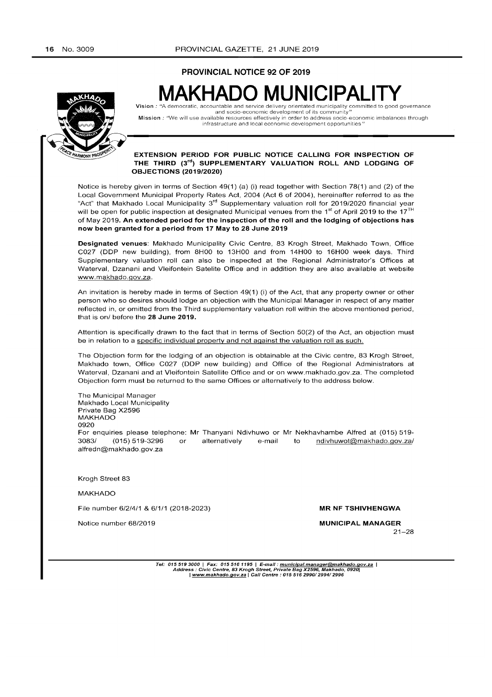PROVINCIAL NOTICE 92 OF 2019

# **IAKHADO MUNICIPA**

HARMONY PRO

and social-text contribution is the social series of the social series of the defined municipality committed to good governance<br>and socio-economic development of its community" Mission .- *'We* will use available resources effectively in order to address socia-economic imbalances through infrastructure and local economic development opportunities"

#### EXTENSION PERIOD FOR PUBLIC NOTICE CALLING FOR INSPECTION OF THE THIRD (3<sup>rd</sup>) SUPPLEMENTARY VALUATION ROLL AND LODGING OF OBJECTIONS (2019/2020)

Notice is hereby given in terms of Section 49(1) (a) (i) read together with Section 78(1) and (2) of the Local Government Municipal Property Rates Act, 2004 (Act 6 of 2004), hereinafter referred to as the "Act" that Makhado Local Municipality  $3^{rd}$  Supplementary valuation roll for 2019/2020 financial year will be open for public inspection at designated Municipal venues from the 1<sup>st</sup> of April 2019 to the 17<sup>TH</sup> of May 2019. An extended period for the inspection of the roll and the lodging of objections has now been granted for a period from 17 May to 28 June 2019

Designated venues: Makhado Municipality Civic Centre, 83 Krogh Street, Makhado Town, Office C027 (DDP new building), from 8HOO to 13HOO and from 14HOO to 16HOO week days. Third Supplementary valuation roll can also be inspected at the Regional Administrator's Offices at Waterval, Dzanani and Vleifontein Satelite Office and in addition they are also available at website www.makhado.gov.za.

An invitation is hereby made in terms of Section 49(1) (i) of the Act, that any property owner or other person who so desires should lodge an objection with the Municipal Manager in respect of any matter reflected in, or omitted from the Third supplementary valuation roll within the above mentioned period, that is *onl* before the 28 June 2019.

Attention is specifically drawn to the fact that in terms of Section 50(2) of the Act, an objection must be in relation to a specific individual property and not against the valuation roll as such.

The Objection form for the lodging of an objection is obtainable at the Civic centre, 83 Krogh Street, Makhado town, Office C027 (DDP new building) and Office of the Regional Administrators at Waterval, Dzanani and at Vleifontein Satellite Office and or on www.makhado.gov.za. The completed Objection form must be returned to the same Offices or alternatively to the address below.

The Municipal Manager Makhado Local Municipality Private Bag X2596 MAKHADO 0920 For enquiries please telephone: Mr Thanyani Ndivhuwo or Mr Nekhavhambe Alfred at (015) 519- 30831 (015) 519-3296 or alternatively e-mail tondivhuwot@makhado.gov.za/ alfredn@makhado.gov.za

Krogh Street 83

MAKHADO

File number 6/2/4/1 & 6/1/1 (2018-2023) MR NF TSHIVHENGWA

Notice number 68/2019 **MUNICIPAL MANAGER** 21-28

Tel: 0155193000 I Fax: 0155161195 I E-mail: municipal.manaqer@makhado.qov.za I Address: Civic Centre, 83 Krogh Street, Private Bag X2596, Makhado, *<sup>09201</sup>* 1 www.makhado.90v.zaICall Centre: *015* 516 *2990/2994/2996*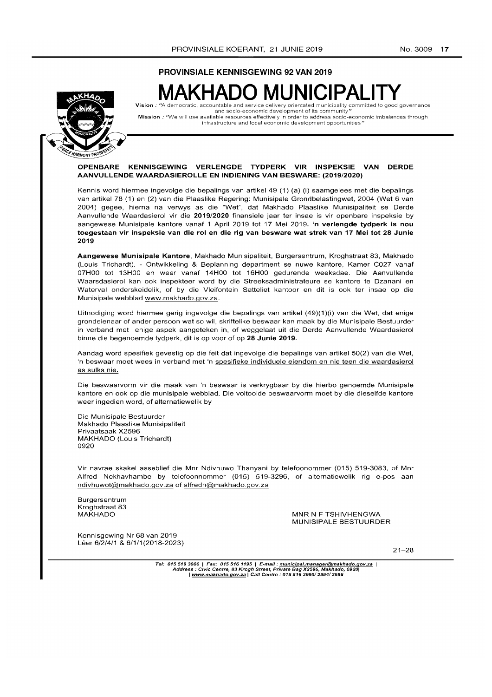#### PROVINSIALE KENNISGEWING 92 VAN 2019



**AKHADO MUNICIPAI** Vision: "A democratic, accountable and service delivery orientated municipality committed to good governance and socio-economic development of its community"<br>Mission: "We will use available resources effectively in order to address socio-economic imbalances through infrastructure and local economic development opportunities'

#### OPENBARE KENNISGEWING VERLENGDE TYDPERK VIR INSPEKSIE VAN DERDE AANVULLENDE WAARDASIEROLLE EN INDIENING VAN BESWARE: (2019/2020)

Kennis word hiermee ingevolge die bepalings van artikel 49 (1) (a) (i) saamgelees met die bepalings van artikel 78 (1) en (2) van die Plaaslike Regering: Munisipale Grondbelastingwet, 2004 (Wet 6 van 2004) gegee, hierna na verwys as die "Wet", dat Makhado Plaaslike Munisipaliteit se Derde Aanvullende Waardasierol vir die 2019/2020 finansiele jaar ter insae is vir openbare inspeksie by aangewese Munisipale kantore vanaf 1 April 2019 tot 17 Mei 2019. 'n verlengde tydperk is nou toegestaan vir inspeksie van die rol en die rig van besware wat strek van 17 Mei tot 28 Junie 2019

Aangewese Munisipale Kantore, Makhado Munisipaliteit, Burgersentrum, Kroghstraat 83, Makhado (Louis Trichardt), - Ontwikkeling & Beplanning department se nuwe kantore, Kamer C027 vanaf 07HOO tot 13HOO en weer vanaf 14HOO tot 16HOO gedurende weeksdae. Die Aanvullende Waarsdasierol kan ook inspekteer word by die Streeksadministrateure se kantore te Dzanani en Waterval onderskeidelik, of by die Vleifontein Satteliet kantoor en dit is ook ter insae op die Munisipale webblad www.makhado.gov.za.

Uitnodiging word hiermee gerig ingevolge die bepalings van artikel (49)(1)(i) van die Wet, dat enige grondeienaar of ander persoon wat so wil, skriftelike beswaar kan maak by die Munisipale Bestuurder in verband met enige aspek aangeteken in, of weggelaat uit die Derde Aanvullende Waardasierol binne die begenoemde tydperk, dit is op voor of op 28 Junie 2019.

Aandag word spesifiek gevestig op die feit dat ingevolge die bepalings van artikel 50(2) van die Wet, 'n beswaar moet wees in verband met 'n spesifieke individuele eiendom en nie teen die waardasierol as sulks nie.

Die beswaarvorm vir die maak van 'n beswaar is verkrygbaar by die hierbo genoemde Munisipale kantore en ook op die munisipale webblad. Die voltooide beswaarvorm moet by die dieselfde kantore weer ingedien word, of alternatiewelik by

Die Munisipale Bestuurder Makhado Plaaslike Munisipaliteit Privaatsaak X2596 MAKHADO (Louis Trichardt) 0920

Vir navrae skakel asseblief die Mnr Ndivhuwo Thanyani by telefoonommer (015) 519-3083, of Mnr Alfred Nekhavhambe by telefoonnommer (015) 519-3296, of alternatiewelik rig e-pos aan ndivhuwot@makhado.gov.za of alfredn@makhado.gov.za

Burgersentrum Kroghstraat 83 MAKHADO

MNR N F TSHIVHENGWA MUNISIPALE BESTUURDER

Kennisgewing Nr 68 van 2019 Leer 6/2/4/1 & 6/1/1 (2018-2023)

21-28

Tel: 015 519 3000 | Fax: 015 516 1195 | E-mail <u>: municipal.manager@makhado.gov.za</u> |<br>| Address : Civic Centre, 83 Krogh Street, Private Bag X2596, Makhado, 0920|<br>| www.makhado.gov.za| Call Centre : 015 516 2990/ 2994/ 299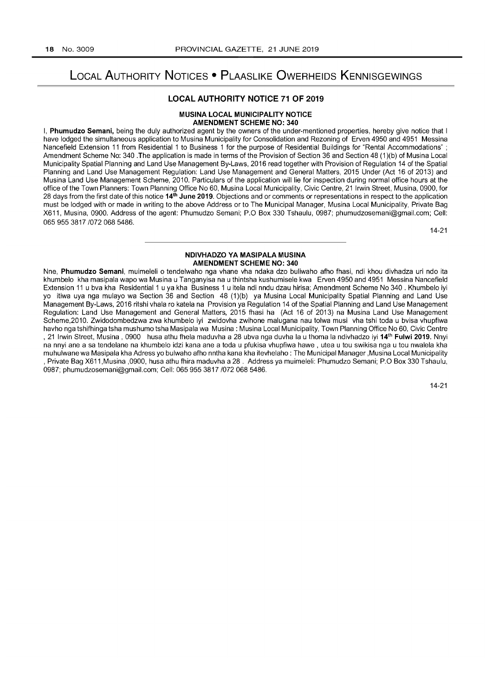# **LOCAL AUTHORITY NOTICES • PLAASLIKE OWERHEIDS KENNISGEWINGS**

## **LOCAL AUTHORITY NOTICE 71 OF 2019**

#### **MUSINA LOCAL MUNICIPALITY NOTICE**  AMENDMENT SCHEME NO: 340

I, **Phumudzo Semani,** being the duly authorized agent by the owners of the under-mentioned properties, hereby give notice that I have lodged the simultaneous application to Musina Municipality for Consolidation and Rezoning of Erven 4950 and 4951 Messina Nancefield Extension 11 from Residential 1 to Business 1 for the purpose of Residential Buildings for "Rental Accommodations" ; Amendment Scheme No: 340 .The application is made in terms of the Provision of Section 36 and Section 48 (1 )(b) of Musina Local Municipality Spatial Planning and Land Use Management By-Laws, 2016 read together with Provision of Regulation 14 of the Spatial Planning and Land Use Management Regulation: Land Use Management and General Matters, 2015 Under (Act 16 of 2013) and Musina Land Use Management Scheme, 2010. Particulars of the application will lie for inspection during normal office hours at the office of the Town Planners: Town Planning Office No 60, Musina Local Municipality, Civic Centre, 21 Irwin Street, Musina, 0900, for 28 days from the first date of this notice **14th June 2019.** Objections and or comments or representations in respect to the application must be lodged with or made in writing to the above Address or to The Municipal Manager, Musina Local Municipality, Private Bag X611, Musina, 0900. Address of the agent: Phumudzo Semani; P.O Box 330 Tshaulu, 0987; phumudzosemani@gmail.com; Cell: 065 955 3817 /072 068 5486.

14-21

#### **NDIVHADZO YA MASIPALA MUSINA AMENDMENT SCHEME NO: 340**

Nne, **Phumudzo Semani,** muimeleli 0 tendelwaho nga vhane vha ndaka dzo buliwaho afho fhasi, ndi khou divhadza uri ndo ita khumbelo kha masipala wapo wa Musina u Tanganyisa na u thintsha kushumisele kwa Erven 4950 and 4951 Messina Nancefield Extension 11 u bva kha Residential 1 u ya kha Business 1 u itela ndi nndu dzau hirisa; Amendment Scheme No 340 . Khumbelo iyi yo itiwa uya nga mulayo wa Section 36 and Section 48 (1)(b) ya Musina Local Municipality Spatial Planning and Land Use Management By-Laws, 2016 ritshi vhala ro katela na Provision ya Regulation 14 of the Spatial Planning and Land Use Management Regulation: Land Use Management and General Matters, 2015 fhasi ha (Act 16 of 2013) na Musina Land Use Management Scheme,2010. Zwidodombedzwa zwa khumbelo iyi zwidovha zwihone malugana nau tolwa musi vha tshi toda u bvisa vhupfiwa havho nga tshifhinga tsha mushumo tsha Masipala wa Musina : Musina Local Municipality, Town Planning Office No 60, Civic Centre , 21 Irwin Street, Musina ,0900 husa athu fhela maduvha a 28 ubva nga duvha la u thoma la ndivhadzo iyi **14th Fulwi 2019.** Nnyi na nnyi ane a sa tendelane na khumbelo idzi kana ane a toda u pfukisa yhupfiwa hawe, utea u tou swikisa nga u tou nwalela kha muhulwane wa Masipala kha Adress yo bulwaho afho nntha kana kha itevhelaho : The Municipal Manager ,Musina Local Municipality , Private Bag X611 ,Musina ,0900, husa athu fhira maduvha a 28 . Address ya muimeleli: Phumudzo Semani; P.O Box 330 Tshaulu, 0987; phumudzosemani@gmail.com; Cell: 0659553817/0720685486.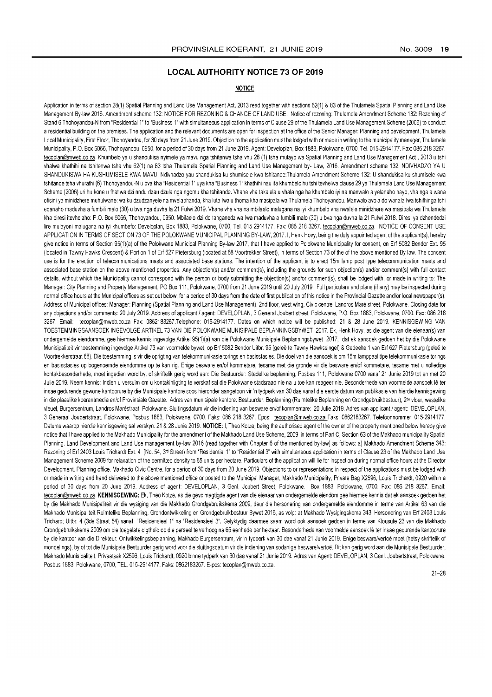### **LOCAL AUTHORITY NOTICE 73 OF 2019**

#### **NOTICE**

Application in terms of section 28(1) Spatial Planning and Land Use Management Act, 2013 read together with sections 62(1) & 83 of the Thulamela Spatial Planning and Land Use Management By·law 2016. Amendment scheme 132: NOTICE FOR REZONING & CHANGE OF LAND USE. Notice of rezoning: Thulamela Amendment Scheme 132: Rezoning of Stand 6 Thohoyandou-N from "Residential 1" to "Business 1" with simultaneous application in terms of Clause 29 of the Thulamela Land Use Management Scheme (2006) to conduct a residential building on the premises. The application and the relevant documents are open for inspection at the office of the Senior Manager: Planning and development, Thulamela Local Municipality, First Floor, Thohoyandou, for 30 days from 21 June 2019. Objection to the application must be lodged with or made in writing to the municipality manager, Thulamela Municipality, P.O. Box 5066, Thohoyandou, 0950, for a period of 30 days from 21 June 2019. Agent: Developlan, Box 1883, Polokwane, 0700, Tel. 015-2914177. Fax: 0862183267. tecoplan@mweb.co.za. Khumbelo ya u shandukisa nyimele ya mavu nga tshitenwa tsha vhu 28 (1) tsha mulayo wa Spatial Planning and Land Use Management Act, 2013 u tshi vhalwa khathihi na tshitenwa tsha vhu 62(1) na 83 tsha Thulamela Spatial Planning and Land Use Management by- Law, 2016. Amendment scheme 132. NDIVHADZO YA U SHANDUKISWA HA KUSHUMISELE KWA MAVU. Ndivhadzo yau shandukisa ku shumisele kwa tshitande:Thulamela Amendment Scheme 132: U shandukisa ku shumisele kwa tshitande tsha vhurathi (6) Thohoyandou-N u bva kha "Residential 1" uya kha "Business 1" khathihi nau ita khumbelo hu tshi tevhelwa clause 29 ya Thulamela Land Use Management Scheme (2006) uri hu kone u fhatiwa dzi nndu dzau dzula nga ngomu kha tshitande. Vhane vha takalela u vhala nga ha khumbelo iyi na manwalo a yelanaho nayo, vha nga a wana ofisini ya minidzhere muhulwane: wa ku dzudzanyele na mvelaphanda, kha luta Iwa u thoma kha masipala wa Thulamela Thohoyandou. Manwalo avo a do wanala Iwa tshifhinga tshi edanaho maduvha a fumbili malo (30) u bva nga duvha la 21 Fulwi 2019. Vhane vha vha na mbilaelo malugana na iyi khumbelo vha nwalele minidzhere wa masipala wa Thulamela kha diresi itevhelaho: P.O. Box 5066, Thohoyandou, 0950. Mbilaelo dzi do tanganedziwa Iwa maduvha a fumbili malo (30) u bva nga duvha la 21 Fulwi 2018. Diresi ya dzhendedzi lire mulayoni malugana na iyi khumbefo: Developlan, Box 1883, Polokwane, 0700, Tel. 015-2914177. Fax: 086 218 3267. tecoplan@mweb.co.za. NOTICE OF CONSENT USE APPLICATION IN TERMS OF SECTION 73 OF THE POLOKWANE MUNICIPAL PLANNING BY-LAW, 2017.1, Henk Hovy, being the duly appointed agent of the applicant(s), hereby give notice in terms of Section 95(1)(a) of the Polokwane Municipal Planning By-law 2017, that I have applied to Polokwane Municipality for consent, on Erf 5082 Bendor Ext. 95 (located in Tawny Hawks Crescent) & Portion 1 of Erf 627 Pietersburg (located at 68 Voortrekker Street), in terms of Section 73 of the of the above mentioned By-law. The consent use is for the erection of telecommunications masts and associated base stations. The intention of the applicant is to erect 15m lamp post type telecommunication masts and associated base station on the above mentioned properties. Any objection(s) and/or comment(s), including the grounds for such objection(s) and/or comment(s) with full contact details, without which the Municipality cannot correspond with the person or body submitting the objection(s) and/or comment(s), shall be lodged with, or made in writing to: The Manager: City Planning and Property Management, PO Box 111, Polokwane, 0700 from 21 June 2019 until 20 July 2019. Full particulars and plans (if any) may be inspected during normal office hours at the Municipal offices as set out below, for a period of 30 days from the date of first publication of this notice in the Provincial Gazette and/or local newspaper(s). Address of Municipal offices: Manager: Planning (Spatial Planning and Land Use Management), 2nd floor, west wing, Civic centre, Landros Maré street, Polokwane. Closing date for any objections and/or comments: 20 July 2019. Address of applicant / agent: DEVELOPLAN, 3 General Joubert street, Polokwane, P.O. Box 1883, Polokwane, 0700. Fax: 086 218 3267. Email: tecoplan@mweb.co.za Fax: 0862183267.Telephone: 015-2914177. Dates on which notice will be published: 21 & 28 June 2019. KENNISGEWING VAN TOESTEMMINGSAANSOEK INGEVOLGE ARTIKEL 73 VAN DIE POLOKWANE MUNISIPALE BEPLANNINGSBYWET 2017. Ek, Henk Hovy, as die agent van die eienaar(s) van ondergemelde eiendomme, gee hiermee kennis ingevolge Artikel 95(1)(a) van die Polokwane Munisipale Beplanningsbywet 2017, dat ek aansoek gedoen het by die Polokwane Munisipaliteit vir toestemming ingevolge Artikel73 van voormelde bywet, op Erf 5082 Bendor Uitbr. 95 (gele8 te Tawny Hawkssingel) & Gedeelte 1 van Erf 627 Pietersburg (gele8 te Voortrekkerstraat 68). Die toestemming is vir die oprigting van telekommunikasie torings en basisstasies. Die doel van die aansoek is om 15m lamppaal tipe telekommunikasie torings en basisstasies op bogenoemde eiendomme op te kan rig. Enige besware en/of kommetare, tesame met die gronde vir die besware en/of kommetare, tesame met u volledige kontakbesonderhede, moet ingedien word by, of skriftelik gerig word aan: Die Bestuurder: Stedelike beplanning, Posbus 111, Polokwane 0700 vanaf 21 Junie 2019 tot en met 20 Julie 2019. Neem kennis: Indien u versuim om u kontakinligting te verskaf sal die Polokwane stadsraad nie na u toe kan reageer nie. Besonderhede van voormelde aansoek lê ter insae gedurende gewone kantoorure by die Munisipale kantore soos hieronder aangetoon vir 'n tydperk van 30 dae vanaf die eerste datum van publikasie van hierdie kennisgewing in die plaaslike koerantmedia en/of Provinsiale Gazette. Adres van munisipale kantore: Bestuurder: Beplanning (Ruimtelike Beplanning en Grondgebruikbestuur), 2<sup>de</sup> vloer, westelike vleuel, Burgersentrum, Landros Maréstraat, Polokwane. Sluitingsdatum vir die indiening van besware en/of kommentare: 20 Julie 2019. Adres van applicant / agent: DEVELOPLAN, 3 Generaal Joubertstraat, Polokwane, Posbus 1883, Polokwane, 0700. Faks: 086 218 3267. Epos: tecoplan@mweb.co.za Faks: 0862183267. Telefoonnommer: 015-2914177. Datums waarop hierdie kennisgewing sal verskyn: 21 & 28 Junie 2019. **NOTICE:** I, Theo Kotze, being the authorised agent of the owner of the property mentioned below hereby give notice that I have applied to the Makhado Municipality for the amendment of the Makhado Land Use Scheme, 2009 in terms of Part C, Section 63 of the Makhado municipality Spatial Planning, Land Development and Land Use management by-law 2016 (read together with Chapter 6 of the mentioned by-law) as follows; a) Makhado Amendment Scheme 343: Rezoning of Erf 2403 Louis Trichardt Ext. 4 (No. 54, 3<sup>-d</sup> Street) from "Residential 1" to "Residential 3" with simultaneous application in terms of Clause 23 of the Makhado Land Use Management Scheme 2009 for relaxation of the permitted density to 65 units per hectare. Particulars of the application will lie for inspection during normal office hours at the Director Development, Planning office, Makhado Civic Centre, for a period of 30 days from 20 June 2019. Objections to or representations in respect of the applications must be lodged with or made in writing and hand delivered to the above mentioned office or posted to the Municipal Manager, Makhado Municipality, Private Bag X2596, Louis Trichardt, 0920 within a period of 30 days from 20 June 2019. Address of agent: DEVELOPLAN, 3 Genl. Joubert Street, Polokwane. Box 1883, Polokwane, 0700. Fax: 086 218 3267. Email: tecoplan@mweb.co.za. **KENNISGEWING:** Ek, Theo Kotze, as die gevolmagtigde agent van die eienaar van ondergemelde eiendom gee hiermee kennis dat ek aansoek gedoen het by die Makhado Munisipaliteit vir die wysiging van die Makhado Grondgebruikskema 2009, deur die hersonering van ondergemelde eiendomme in terme van Artikel 63 van die Makhado Munisipaliteit Ruimtelike Beplanning, Grondontwikkeling en Grondgebruikbestuur Bywet 2016, as volg: a) Makhado Wysigingskema 343: Hersonering van Erf 2403 Louis Trichardt Uitbr. 4 (3de Straat 54) vanaf "ResidensieeI1" na "Residensieel 3". Gelyktydig daarmee saam word ook aansoek gedoen in terme van Klousule 23 van die Makhado Grondgebruikskema 2009 om die toegelate digtheid op die perseel te verhoog na 65 eenhede per hektaar. Besonderhede van voormelde aansoek Ie ter insae gedurende kantoorure by die kantoor van die Direkteur: Ontwikkelingsbeplanning, Makhado Burgersentrum, vir 'n tydperk van 30 dae vanaf 21 Junie 2019. Enige besware/vert08 moet (hetsy skriftelik of mondelings), by of tot die Munisipale Bestuurder gerig word voor die sluitingsdatum vir die indiening van sodanige besware/vert08. Dit kan gerig word aan die Munisipale Bestuurder, Makhado Munisipaliteit, Privaatsak X2596, Louis Trichardt, 0920 binne tydperk van 30 dae vanaf 21 Junie 2019. Adres van Agent: DEVELOPLAN, 3 Genl. Joubertstraat, Polokwane. Posbus 1883, Polokwane, 0700, TEL. 015-2914177. Faks: 0862183267. E-pos: tecoplan@mweb.co.za.